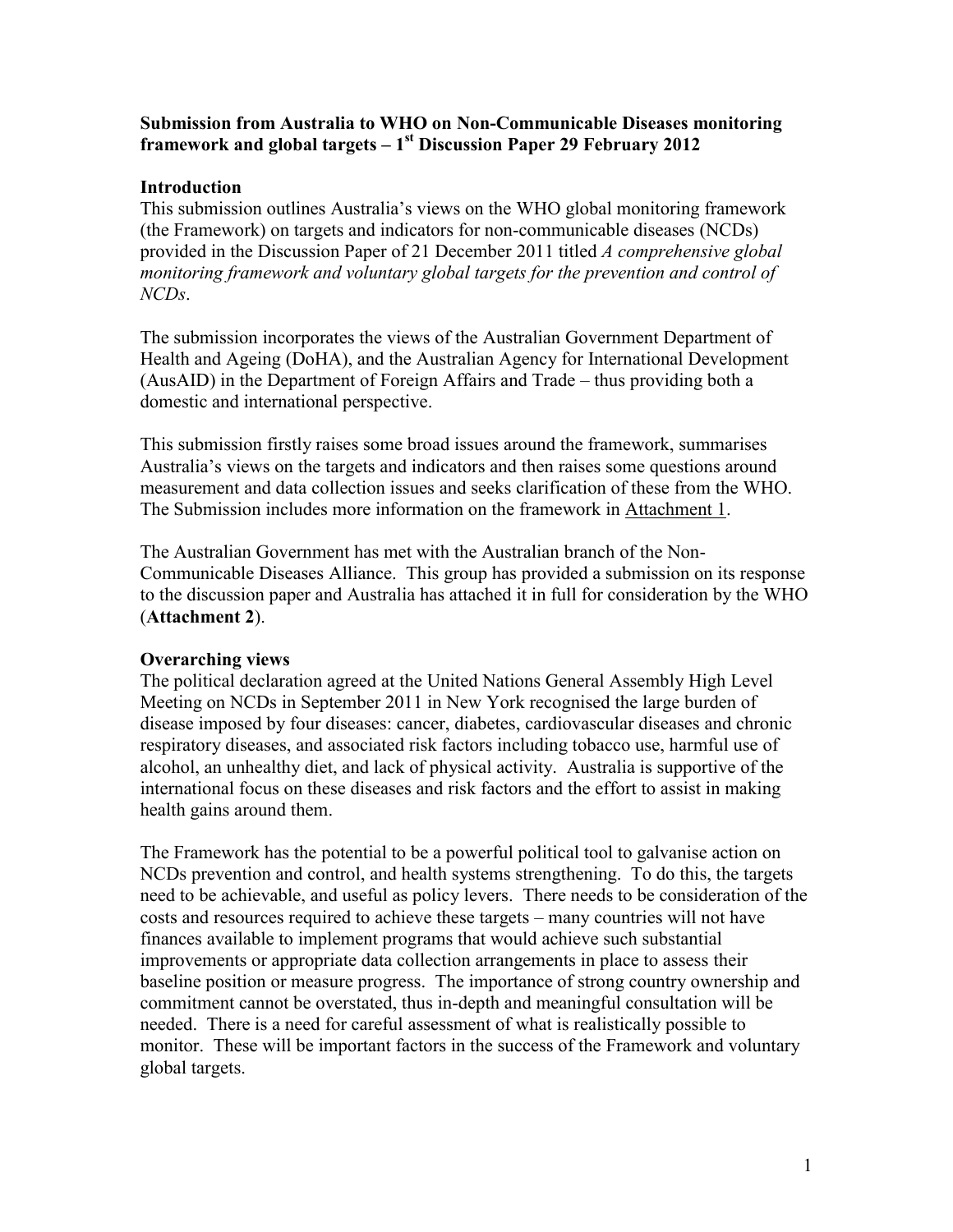## **Submission from Australia to WHO on Non-Communicable Diseases monitoring framework and global targets – 1 st Discussion Paper 29 February 2012**

## **Introduction**

This submission outlines Australia's views on the WHO global monitoring framework (the Framework) on targets and indicators for non-communicable diseases (NCDs) provided in the Discussion Paper of 21 December 2011 titled *A comprehensive global monitoring framework and voluntary global targets for the prevention and control of NCDs*.

The submission incorporates the views of the Australian Government Department of Health and Ageing (DoHA), and the Australian Agency for International Development (AusAID) in the Department of Foreign Affairs and Trade – thus providing both a domestic and international perspective.

This submission firstly raises some broad issues around the framework, summarises Australia's views on the targets and indicators and then raises some questions around measurement and data collection issues and seeks clarification of these from the WHO. The Submission includes more information on the framework in Attachment 1.

The Australian Government has met with the Australian branch of the Non-Communicable Diseases Alliance. This group has provided a submission on its response to the discussion paper and Australia has attached it in full for consideration by the WHO (**Attachment 2**).

# **Overarching views**

The political declaration agreed at the United Nations General Assembly High Level Meeting on NCDs in September 2011 in New York recognised the large burden of disease imposed by four diseases: cancer, diabetes, cardiovascular diseases and chronic respiratory diseases, and associated risk factors including tobacco use, harmful use of alcohol, an unhealthy diet, and lack of physical activity. Australia is supportive of the international focus on these diseases and risk factors and the effort to assist in making health gains around them.

The Framework has the potential to be a powerful political tool to galvanise action on NCDs prevention and control, and health systems strengthening. To do this, the targets need to be achievable, and useful as policy levers. There needs to be consideration of the costs and resources required to achieve these targets – many countries will not have finances available to implement programs that would achieve such substantial improvements or appropriate data collection arrangements in place to assess their baseline position or measure progress. The importance of strong country ownership and commitment cannot be overstated, thus in-depth and meaningful consultation will be needed. There is a need for careful assessment of what is realistically possible to monitor. These will be important factors in the success of the Framework and voluntary global targets.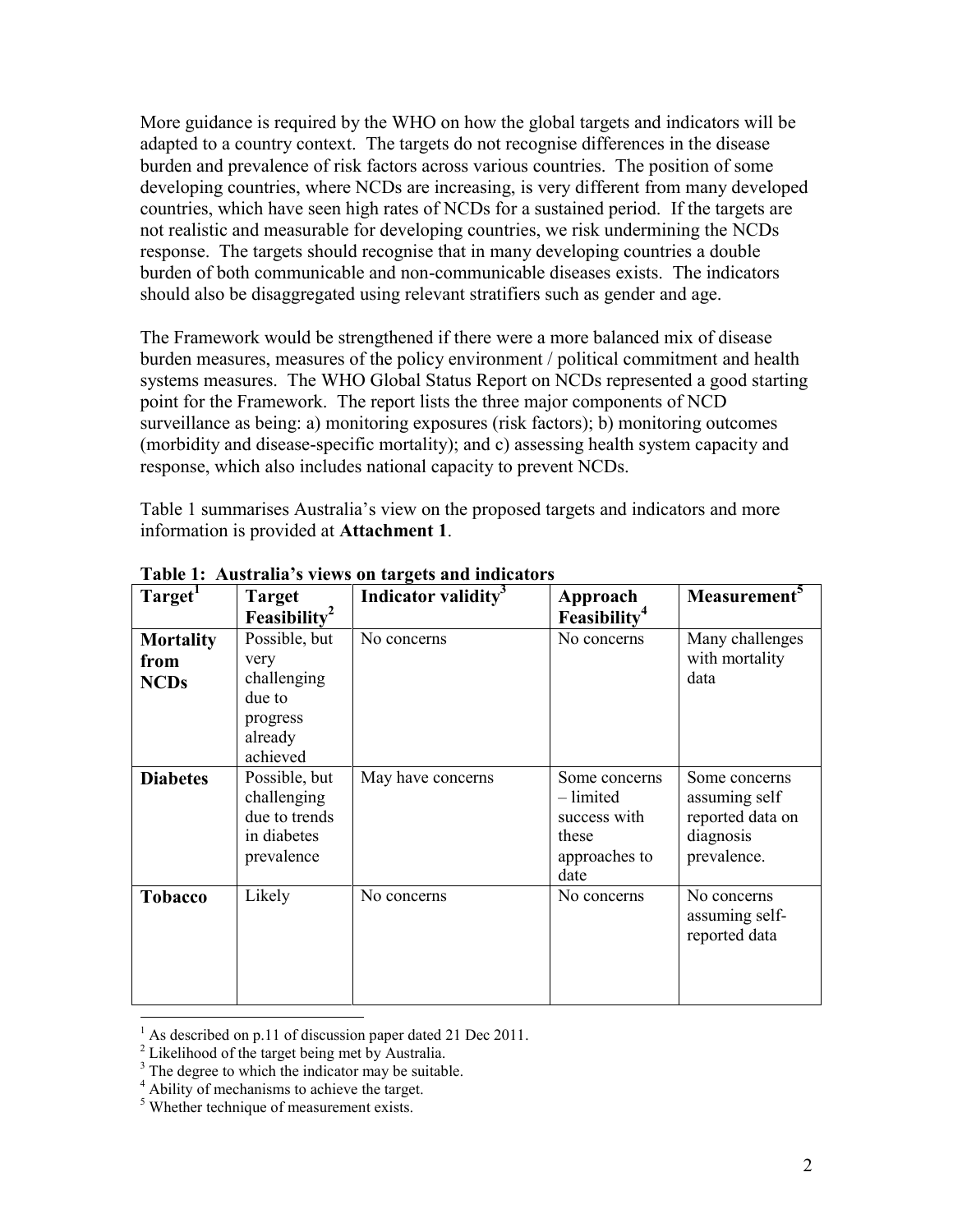More guidance is required by the WHO on how the global targets and indicators will be adapted to a country context. The targets do not recognise differences in the disease burden and prevalence of risk factors across various countries. The position of some developing countries, where NCDs are increasing, is very different from many developed countries, which have seen high rates of NCDs for a sustained period. If the targets are not realistic and measurable for developing countries, we risk undermining the NCDs response. The targets should recognise that in many developing countries a double burden of both communicable and non-communicable diseases exists. The indicators should also be disaggregated using relevant stratifiers such as gender and age.

The Framework would be strengthened if there were a more balanced mix of disease burden measures, measures of the policy environment / political commitment and health systems measures. The WHO Global Status Report on NCDs represented a good starting point for the Framework. The report lists the three major components of NCD surveillance as being: a) monitoring exposures (risk factors); b) monitoring outcomes (morbidity and disease-specific mortality); and c) assessing health system capacity and response, which also includes national capacity to prevent NCDs.

Table 1 summarises Australia's view on the proposed targets and indicators and more information is provided at **Attachment 1**.

| Target <sup>1</sup>                     | <b>Target</b><br>Feasibility <sup>2</sup>                                         | Indicator validity <sup>3</sup> | Approach<br>Feasibility <sup>4</sup>                                         | Measurement <sup>5</sup>                                                       |
|-----------------------------------------|-----------------------------------------------------------------------------------|---------------------------------|------------------------------------------------------------------------------|--------------------------------------------------------------------------------|
| <b>Mortality</b><br>from<br><b>NCDs</b> | Possible, but<br>very<br>challenging<br>due to<br>progress<br>already<br>achieved | No concerns                     | No concerns                                                                  | Many challenges<br>with mortality<br>data                                      |
| <b>Diabetes</b>                         | Possible, but<br>challenging<br>due to trends<br>in diabetes<br>prevalence        | May have concerns               | Some concerns<br>- limited<br>success with<br>these<br>approaches to<br>date | Some concerns<br>assuming self<br>reported data on<br>diagnosis<br>prevalence. |
| <b>Tobacco</b>                          | Likely                                                                            | No concerns                     | No concerns                                                                  | No concerns<br>assuming self-<br>reported data                                 |

**Table 1: Australia's views on targets and indicators**

 $\overline{a}$ 

As described on p.11 of discussion paper dated 21 Dec 2011.

<sup>2</sup> Likelihood of the target being met by Australia.

<sup>&</sup>lt;sup>3</sup> The degree to which the indicator may be suitable.

<sup>&</sup>lt;sup>4</sup> Ability of mechanisms to achieve the target.

<sup>&</sup>lt;sup>5</sup> Whether technique of measurement exists.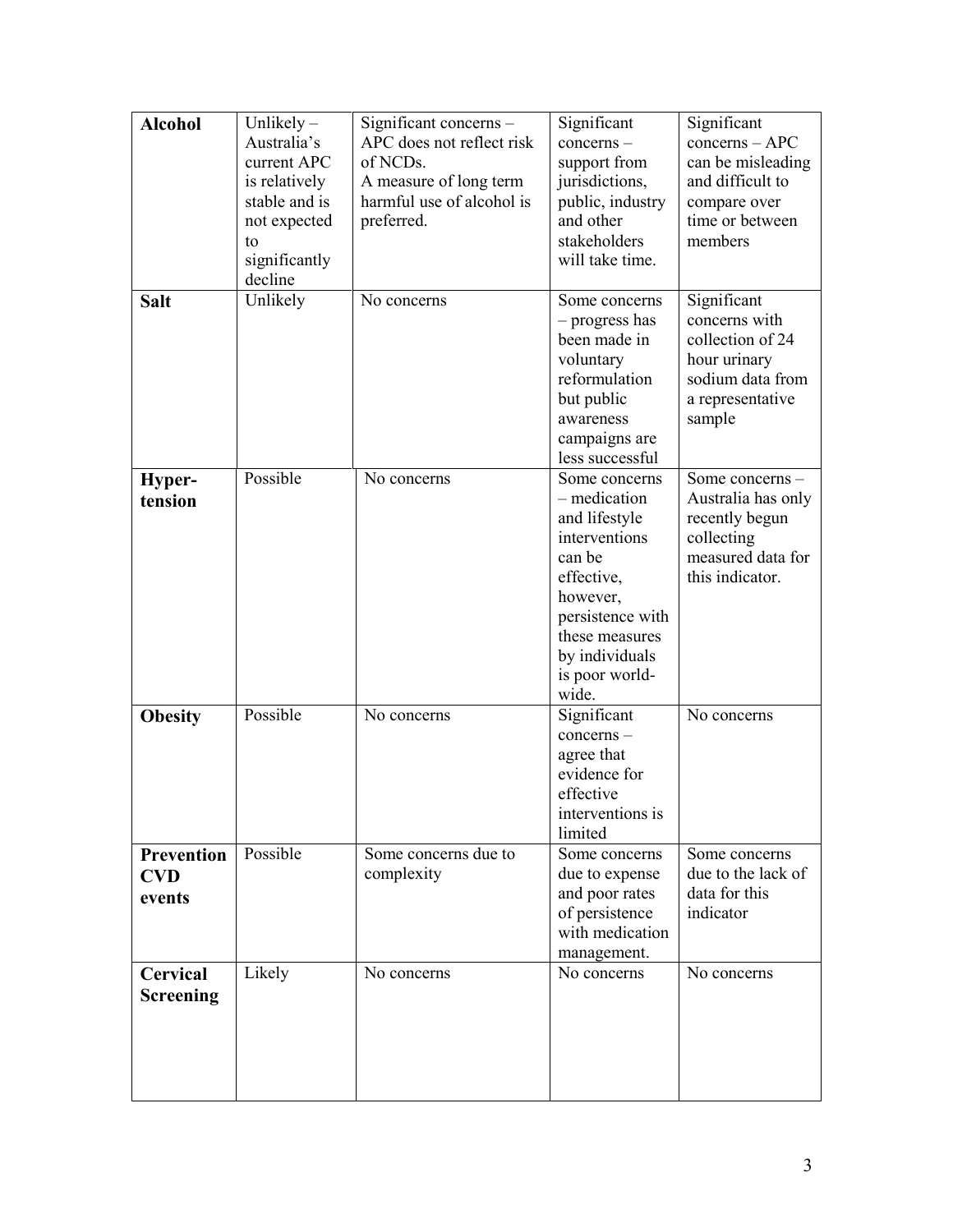| <b>Alcohol</b>                            | Unlikely $-$<br>Australia's<br>current APC<br>is relatively<br>stable and is<br>not expected<br>to<br>significantly<br>decline | Significant concerns -<br>APC does not reflect risk<br>of NCDs.<br>A measure of long term<br>harmful use of alcohol is<br>preferred. | Significant<br>concerns –<br>support from<br>jurisdictions,<br>public, industry<br>and other<br>stakeholders<br>will take time.                                                        | Significant<br>$concerns - APC$<br>can be misleading<br>and difficult to<br>compare over<br>time or between<br>members |
|-------------------------------------------|--------------------------------------------------------------------------------------------------------------------------------|--------------------------------------------------------------------------------------------------------------------------------------|----------------------------------------------------------------------------------------------------------------------------------------------------------------------------------------|------------------------------------------------------------------------------------------------------------------------|
| <b>Salt</b>                               | Unlikely                                                                                                                       | No concerns                                                                                                                          | Some concerns<br>- progress has<br>been made in<br>voluntary<br>reformulation<br>but public<br>awareness<br>campaigns are<br>less successful                                           | Significant<br>concerns with<br>collection of 24<br>hour urinary<br>sodium data from<br>a representative<br>sample     |
| Hyper-<br>tension                         | Possible                                                                                                                       | No concerns                                                                                                                          | Some concerns<br>- medication<br>and lifestyle<br>interventions<br>can be<br>effective,<br>however,<br>persistence with<br>these measures<br>by individuals<br>is poor world-<br>wide. | Some concerns -<br>Australia has only<br>recently begun<br>collecting<br>measured data for<br>this indicator.          |
| <b>Obesity</b>                            | Possible                                                                                                                       | No concerns                                                                                                                          | Significant<br>concerns –<br>agree that<br>evidence for<br>effective<br>interventions is<br>limited                                                                                    | No concerns                                                                                                            |
| <b>Prevention</b><br><b>CVD</b><br>events | Possible                                                                                                                       | Some concerns due to<br>complexity                                                                                                   | Some concerns<br>due to expense<br>and poor rates<br>of persistence<br>with medication<br>management.                                                                                  | Some concerns<br>due to the lack of<br>data for this<br>indicator                                                      |
| Cervical<br>Screening                     | Likely                                                                                                                         | No concerns                                                                                                                          | No concerns                                                                                                                                                                            | No concerns                                                                                                            |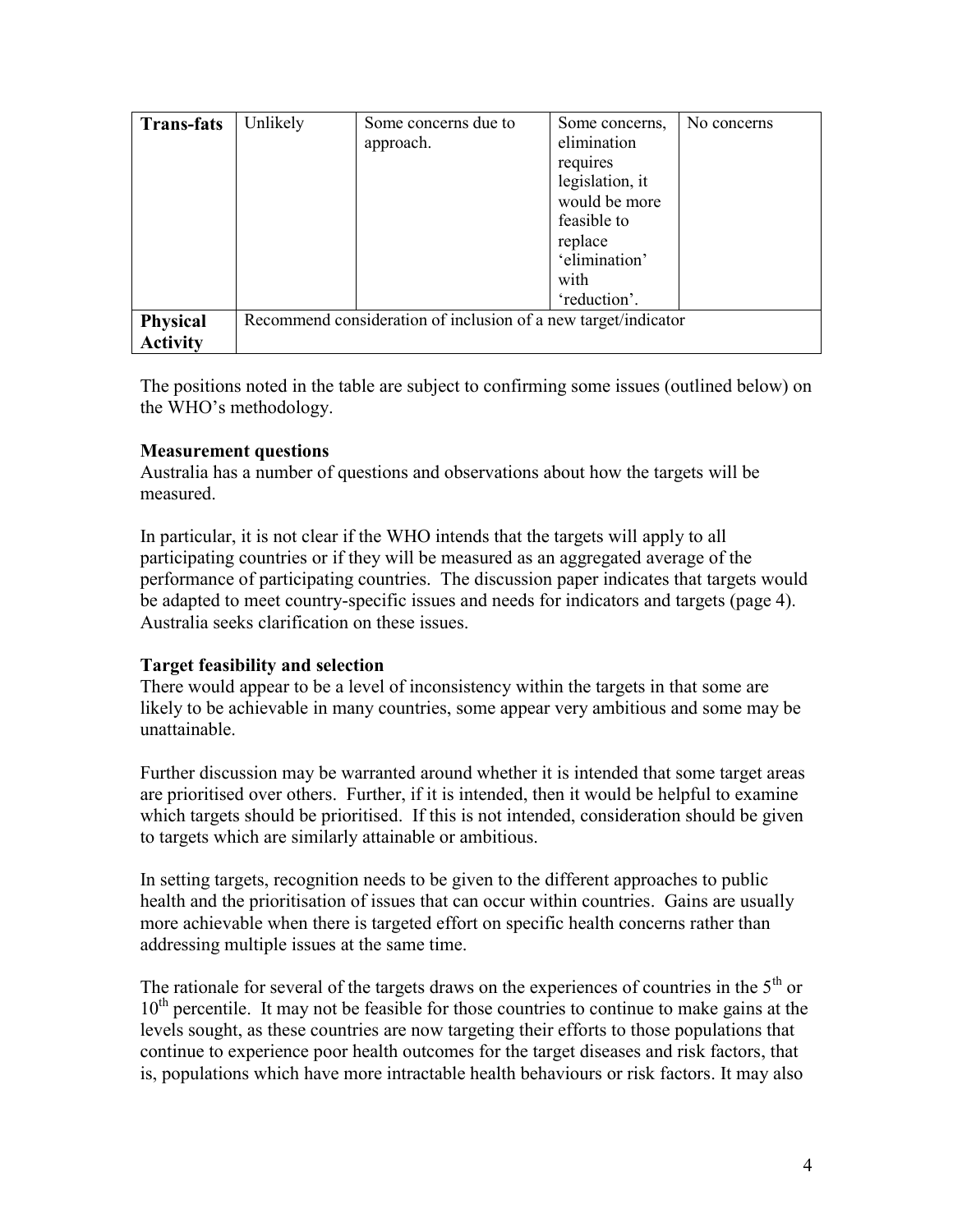| <b>Trans-fats</b>           | Unlikely | Some concerns due to<br>approach.                              | Some concerns,<br>elimination<br>requires<br>legislation, it<br>would be more<br>feasible to<br>replace<br>'elimination'<br>with | No concerns |
|-----------------------------|----------|----------------------------------------------------------------|----------------------------------------------------------------------------------------------------------------------------------|-------------|
|                             |          |                                                                | 'reduction'.                                                                                                                     |             |
| Physical<br><b>Activity</b> |          | Recommend consideration of inclusion of a new target/indicator |                                                                                                                                  |             |

The positions noted in the table are subject to confirming some issues (outlined below) on the WHO's methodology.

## **Measurement questions**

Australia has a number of questions and observations about how the targets will be measured.

In particular, it is not clear if the WHO intends that the targets will apply to all participating countries or if they will be measured as an aggregated average of the performance of participating countries. The discussion paper indicates that targets would be adapted to meet country-specific issues and needs for indicators and targets (page 4). Australia seeks clarification on these issues.

#### **Target feasibility and selection**

There would appear to be a level of inconsistency within the targets in that some are likely to be achievable in many countries, some appear very ambitious and some may be unattainable.

Further discussion may be warranted around whether it is intended that some target areas are prioritised over others. Further, if it is intended, then it would be helpful to examine which targets should be prioritised. If this is not intended, consideration should be given to targets which are similarly attainable or ambitious.

In setting targets, recognition needs to be given to the different approaches to public health and the prioritisation of issues that can occur within countries. Gains are usually more achievable when there is targeted effort on specific health concerns rather than addressing multiple issues at the same time.

The rationale for several of the targets draws on the experiences of countries in the  $5<sup>th</sup>$  or  $10<sup>th</sup>$  percentile. It may not be feasible for those countries to continue to make gains at the levels sought, as these countries are now targeting their efforts to those populations that continue to experience poor health outcomes for the target diseases and risk factors, that is, populations which have more intractable health behaviours or risk factors. It may also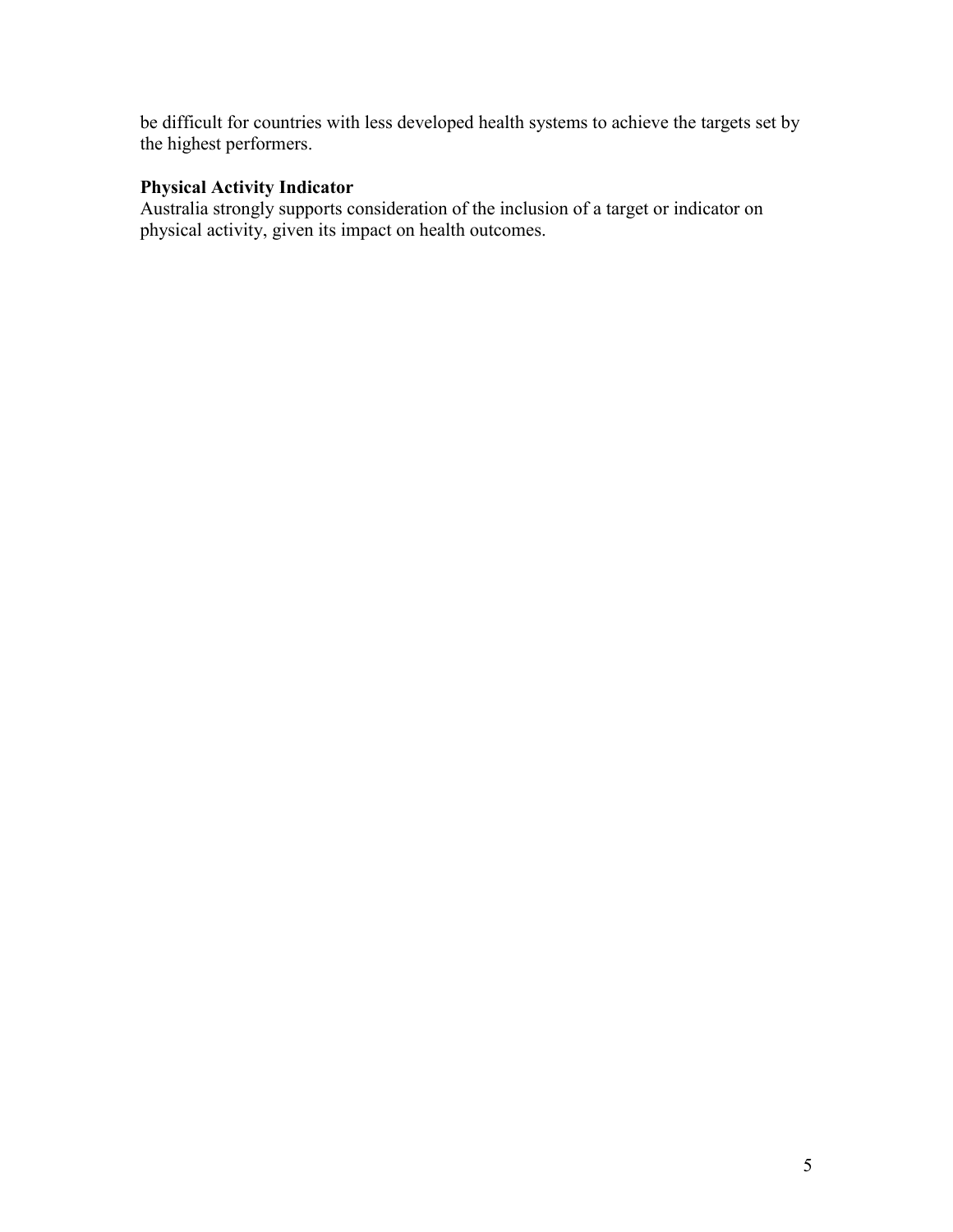be difficult for countries with less developed health systems to achieve the targets set by the highest performers.

# **Physical Activity Indicator**

Australia strongly supports consideration of the inclusion of a target or indicator on physical activity, given its impact on health outcomes.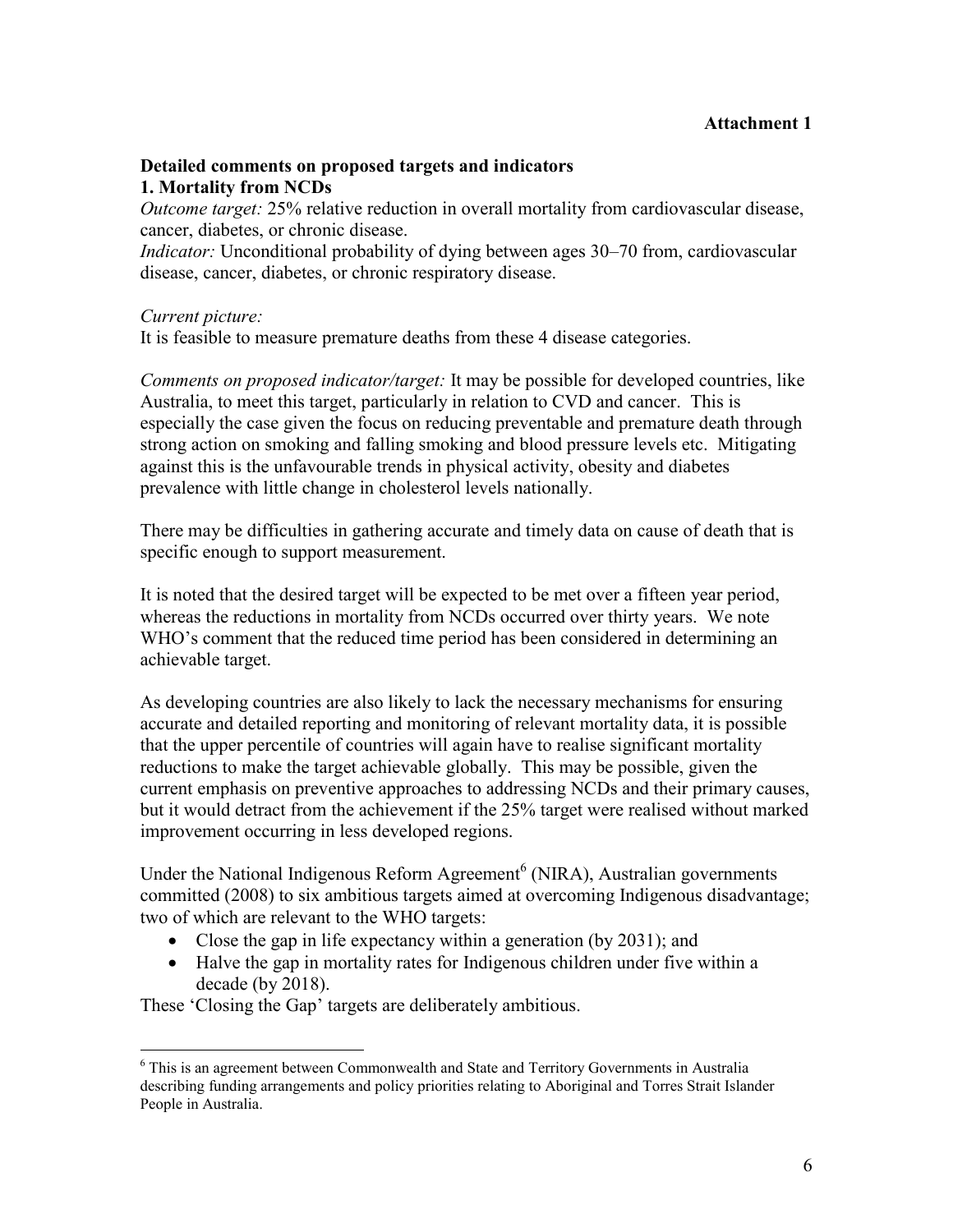#### **Detailed comments on proposed targets and indicators 1. Mortality from NCDs**

*Outcome target:* 25% relative reduction in overall mortality from cardiovascular disease, cancer, diabetes, or chronic disease.

*Indicator:* Unconditional probability of dying between ages 30–70 from, cardiovascular disease, cancer, diabetes, or chronic respiratory disease.

#### *Current picture:*

It is feasible to measure premature deaths from these 4 disease categories.

*Comments on proposed indicator/target:* It may be possible for developed countries, like Australia, to meet this target, particularly in relation to CVD and cancer. This is especially the case given the focus on reducing preventable and premature death through strong action on smoking and falling smoking and blood pressure levels etc. Mitigating against this is the unfavourable trends in physical activity, obesity and diabetes prevalence with little change in cholesterol levels nationally.

There may be difficulties in gathering accurate and timely data on cause of death that is specific enough to support measurement.

It is noted that the desired target will be expected to be met over a fifteen year period, whereas the reductions in mortality from NCDs occurred over thirty years. We note WHO's comment that the reduced time period has been considered in determining an achievable target.

As developing countries are also likely to lack the necessary mechanisms for ensuring accurate and detailed reporting and monitoring of relevant mortality data, it is possible that the upper percentile of countries will again have to realise significant mortality reductions to make the target achievable globally. This may be possible, given the current emphasis on preventive approaches to addressing NCDs and their primary causes, but it would detract from the achievement if the 25% target were realised without marked improvement occurring in less developed regions.

Under the National Indigenous Reform Agreement<sup>6</sup> (NIRA), Australian governments committed (2008) to six ambitious targets aimed at overcoming Indigenous disadvantage; two of which are relevant to the WHO targets:

- Close the gap in life expectancy within a generation (by 2031); and
- Halve the gap in mortality rates for Indigenous children under five within a decade (by 2018).

These 'Closing the Gap' targets are deliberately ambitious.

 $\overline{a}$ <sup>6</sup> This is an agreement between Commonwealth and State and Territory Governments in Australia describing funding arrangements and policy priorities relating to Aboriginal and Torres Strait Islander People in Australia.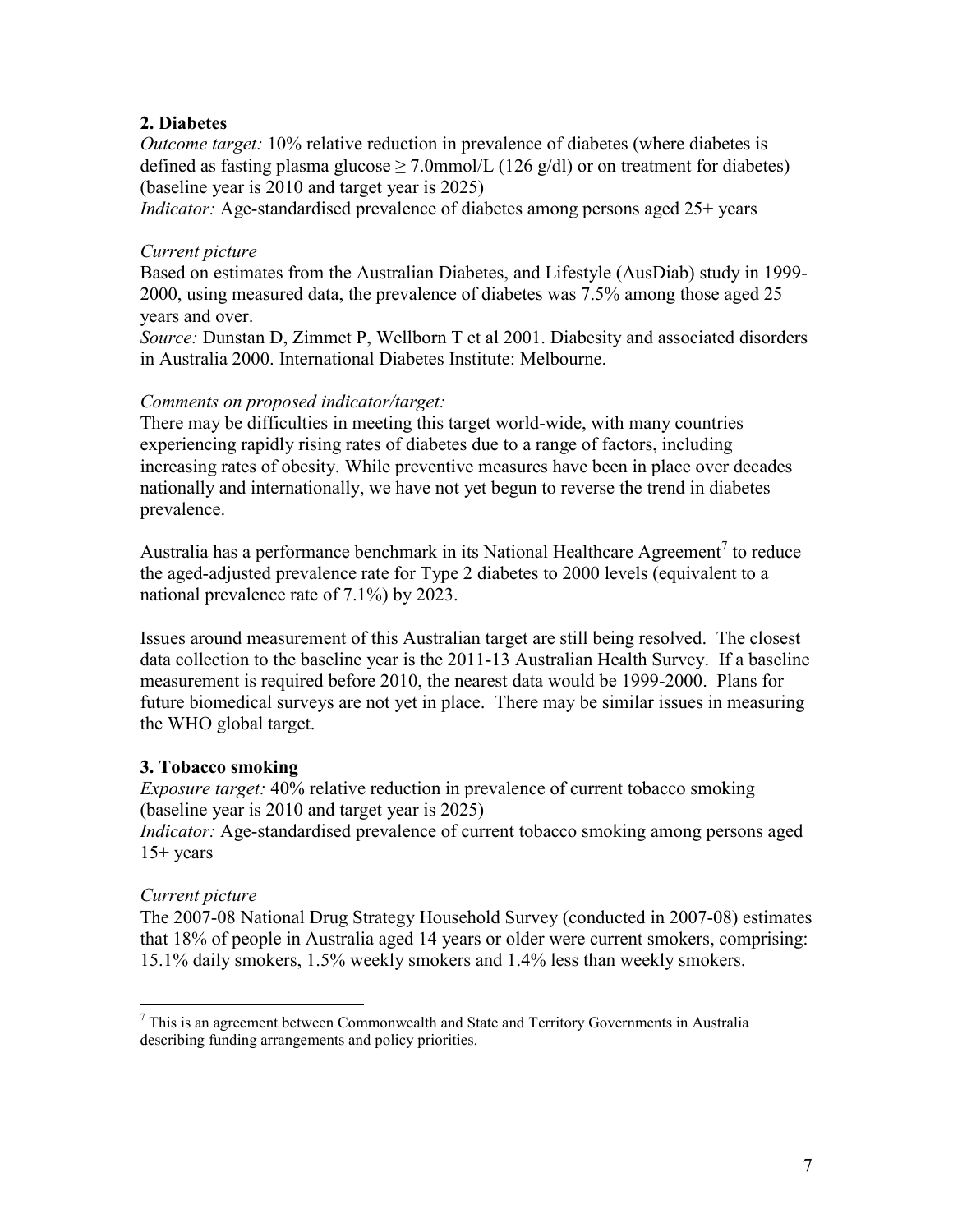## **2. Diabetes**

*Outcome target:* 10% relative reduction in prevalence of diabetes (where diabetes is defined as fasting plasma glucose  $\geq$  7.0mmol/L (126 g/dl) or on treatment for diabetes) (baseline year is 2010 and target year is 2025)

*Indicator:* Age-standardised prevalence of diabetes among persons aged 25+ years

## *Current picture*

Based on estimates from the Australian Diabetes, and Lifestyle (AusDiab) study in 1999- 2000, using measured data, the prevalence of diabetes was 7.5% among those aged 25 years and over.

*Source:* Dunstan D, Zimmet P, Wellborn T et al 2001. Diabesity and associated disorders in Australia 2000. International Diabetes Institute: Melbourne.

## *Comments on proposed indicator/target:*

There may be difficulties in meeting this target world-wide, with many countries experiencing rapidly rising rates of diabetes due to a range of factors, including increasing rates of obesity. While preventive measures have been in place over decades nationally and internationally, we have not yet begun to reverse the trend in diabetes prevalence.

Australia has a performance benchmark in its National Healthcare Agreement<sup>7</sup> to reduce the aged-adjusted prevalence rate for Type 2 diabetes to 2000 levels (equivalent to a national prevalence rate of 7.1%) by 2023.

Issues around measurement of this Australian target are still being resolved. The closest data collection to the baseline year is the 2011-13 Australian Health Survey. If a baseline measurement is required before 2010, the nearest data would be 1999-2000. Plans for future biomedical surveys are not yet in place. There may be similar issues in measuring the WHO global target.

# **3. Tobacco smoking**

*Exposure target:* 40% relative reduction in prevalence of current tobacco smoking (baseline year is 2010 and target year is 2025)

*Indicator:* Age-standardised prevalence of current tobacco smoking among persons aged  $15+$  years

# *Current picture*

 $\overline{a}$ 

The 2007-08 National Drug Strategy Household Survey (conducted in 2007-08) estimates that 18% of people in Australia aged 14 years or older were current smokers, comprising: 15.1% daily smokers, 1.5% weekly smokers and 1.4% less than weekly smokers.

<sup>7</sup> This is an agreement between Commonwealth and State and Territory Governments in Australia describing funding arrangements and policy priorities.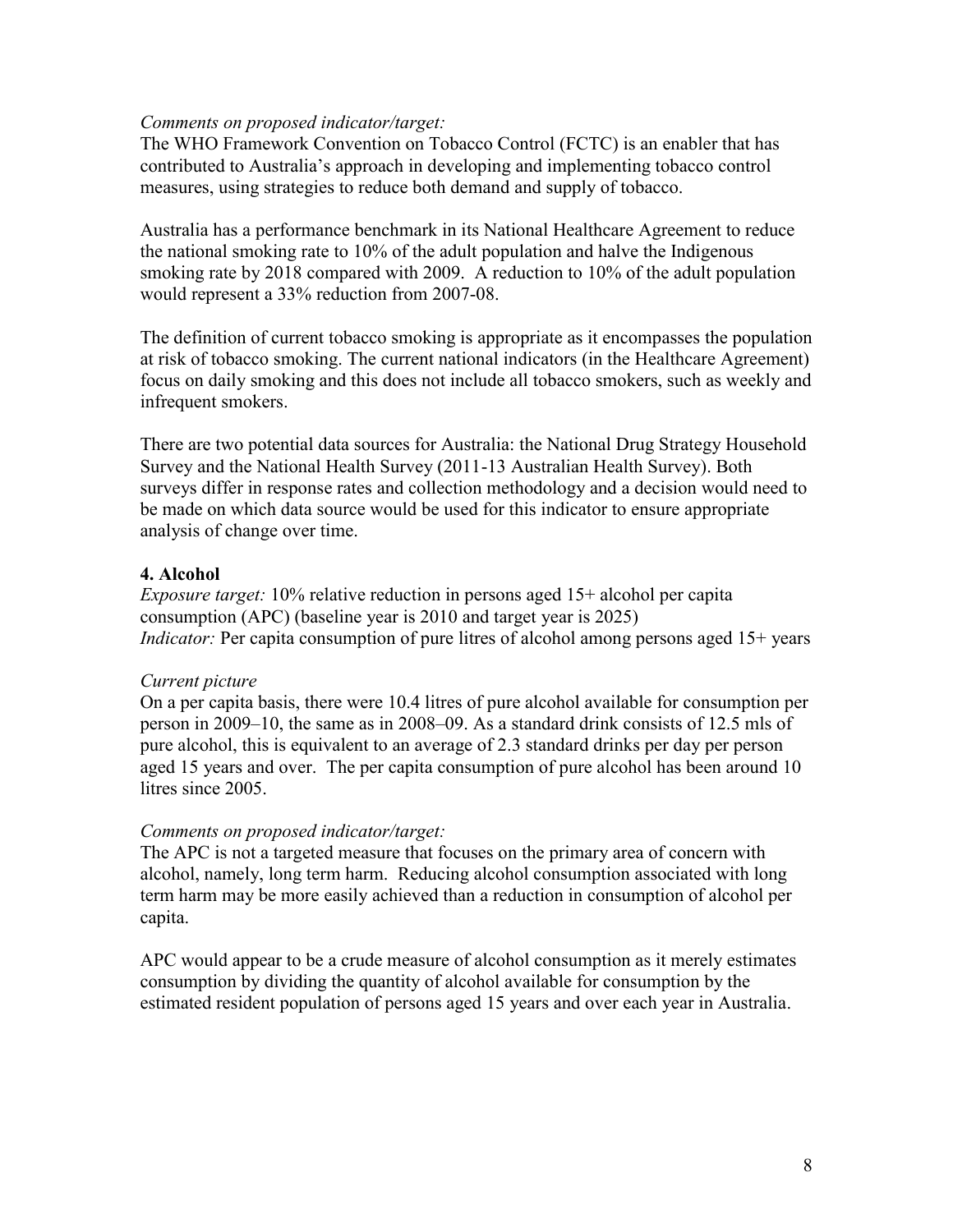#### *Comments on proposed indicator/target:*

The WHO Framework Convention on Tobacco Control (FCTC) is an enabler that has contributed to Australia's approach in developing and implementing tobacco control measures, using strategies to reduce both demand and supply of tobacco.

Australia has a performance benchmark in its National Healthcare Agreement to reduce the national smoking rate to 10% of the adult population and halve the Indigenous smoking rate by 2018 compared with 2009. A reduction to 10% of the adult population would represent a 33% reduction from 2007-08.

The definition of current tobacco smoking is appropriate as it encompasses the population at risk of tobacco smoking. The current national indicators (in the Healthcare Agreement) focus on daily smoking and this does not include all tobacco smokers, such as weekly and infrequent smokers.

There are two potential data sources for Australia: the National Drug Strategy Household Survey and the National Health Survey (2011-13 Australian Health Survey). Both surveys differ in response rates and collection methodology and a decision would need to be made on which data source would be used for this indicator to ensure appropriate analysis of change over time.

# **4. Alcohol**

*Exposure target:* 10% relative reduction in persons aged 15+ alcohol per capita consumption (APC) (baseline year is 2010 and target year is 2025) *Indicator:* Per capita consumption of pure litres of alcohol among persons aged 15+ years

#### *Current picture*

On a per capita basis, there were 10.4 litres of pure alcohol available for consumption per person in 2009–10, the same as in 2008–09. As a standard drink consists of 12.5 mls of pure alcohol, this is equivalent to an average of 2.3 standard drinks per day per person aged 15 years and over. The per capita consumption of pure alcohol has been around 10 litres since 2005.

#### *Comments on proposed indicator/target:*

The APC is not a targeted measure that focuses on the primary area of concern with alcohol, namely, long term harm. Reducing alcohol consumption associated with long term harm may be more easily achieved than a reduction in consumption of alcohol per capita.

APC would appear to be a crude measure of alcohol consumption as it merely estimates consumption by dividing the quantity of alcohol available for consumption by the estimated resident population of persons aged 15 years and over each year in Australia.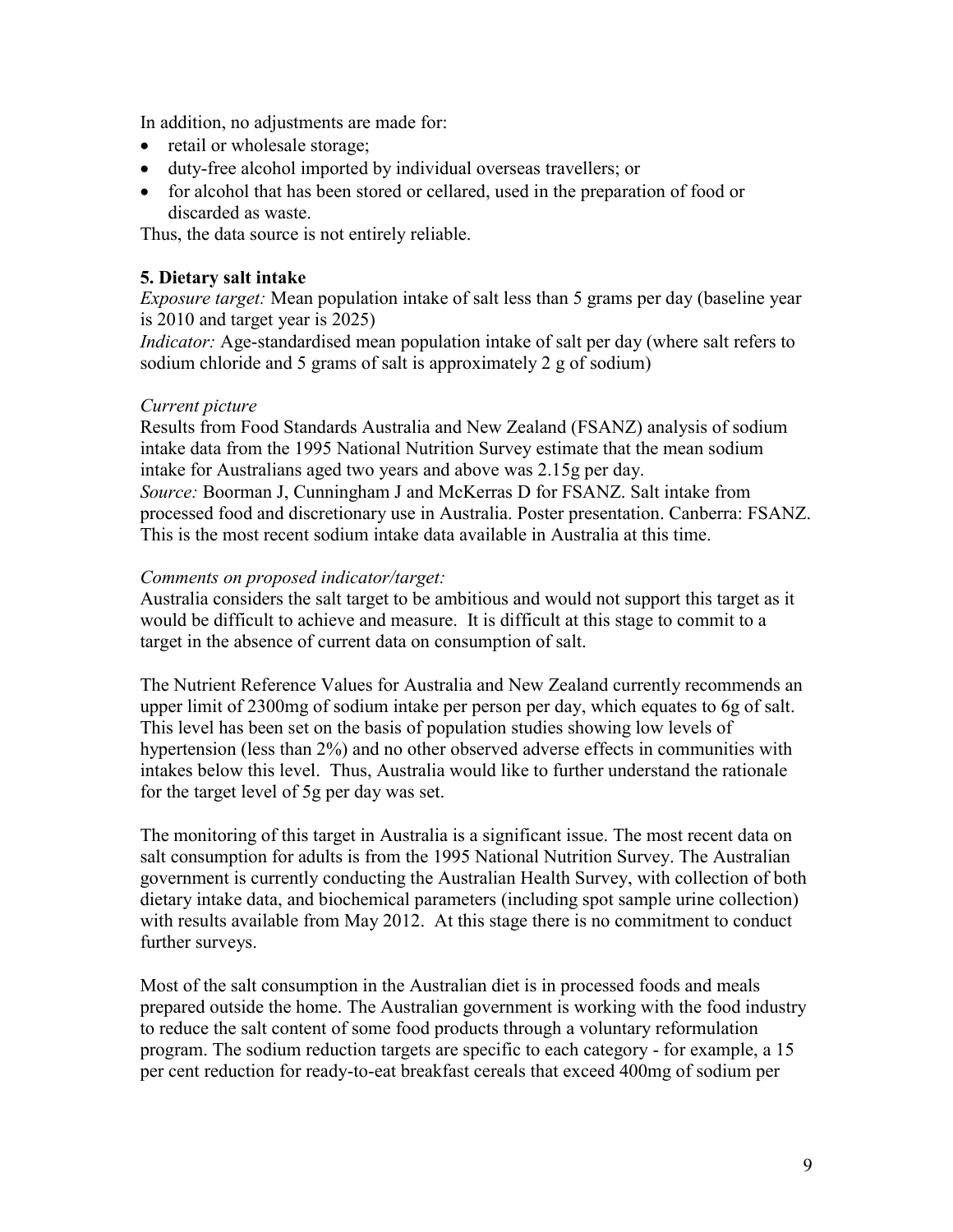In addition, no adjustments are made for:

- retail or wholesale storage;
- duty-free alcohol imported by individual overseas travellers; or
- for alcohol that has been stored or cellared, used in the preparation of food or discarded as waste.

Thus, the data source is not entirely reliable.

## **5. Dietary salt intake**

*Exposure target:* Mean population intake of salt less than 5 grams per day (baseline year is 2010 and target year is 2025)

*Indicator:* Age-standardised mean population intake of salt per day (where salt refers to sodium chloride and 5 grams of salt is approximately 2 g of sodium)

#### *Current picture*

Results from Food Standards Australia and New Zealand (FSANZ) analysis of sodium intake data from the 1995 National Nutrition Survey estimate that the mean sodium intake for Australians aged two years and above was 2.15g per day. *Source:* Boorman J, Cunningham J and McKerras D for FSANZ. Salt intake from processed food and discretionary use in Australia. Poster presentation. Canberra: FSANZ. This is the most recent sodium intake data available in Australia at this time.

## *Comments on proposed indicator/target:*

Australia considers the salt target to be ambitious and would not support this target as it would be difficult to achieve and measure. It is difficult at this stage to commit to a target in the absence of current data on consumption of salt.

The Nutrient Reference Values for Australia and New Zealand currently recommends an upper limit of 2300mg of sodium intake per person per day, which equates to 6g of salt. This level has been set on the basis of population studies showing low levels of hypertension (less than 2%) and no other observed adverse effects in communities with intakes below this level. Thus, Australia would like to further understand the rationale for the target level of 5g per day was set.

The monitoring of this target in Australia is a significant issue. The most recent data on salt consumption for adults is from the 1995 National Nutrition Survey. The Australian government is currently conducting the Australian Health Survey, with collection of both dietary intake data, and biochemical parameters (including spot sample urine collection) with results available from May 2012. At this stage there is no commitment to conduct further surveys.

Most of the salt consumption in the Australian diet is in processed foods and meals prepared outside the home. The Australian government is working with the food industry to reduce the salt content of some food products through a voluntary reformulation program. The sodium reduction targets are specific to each category - for example, a 15 per cent reduction for ready-to-eat breakfast cereals that exceed 400mg of sodium per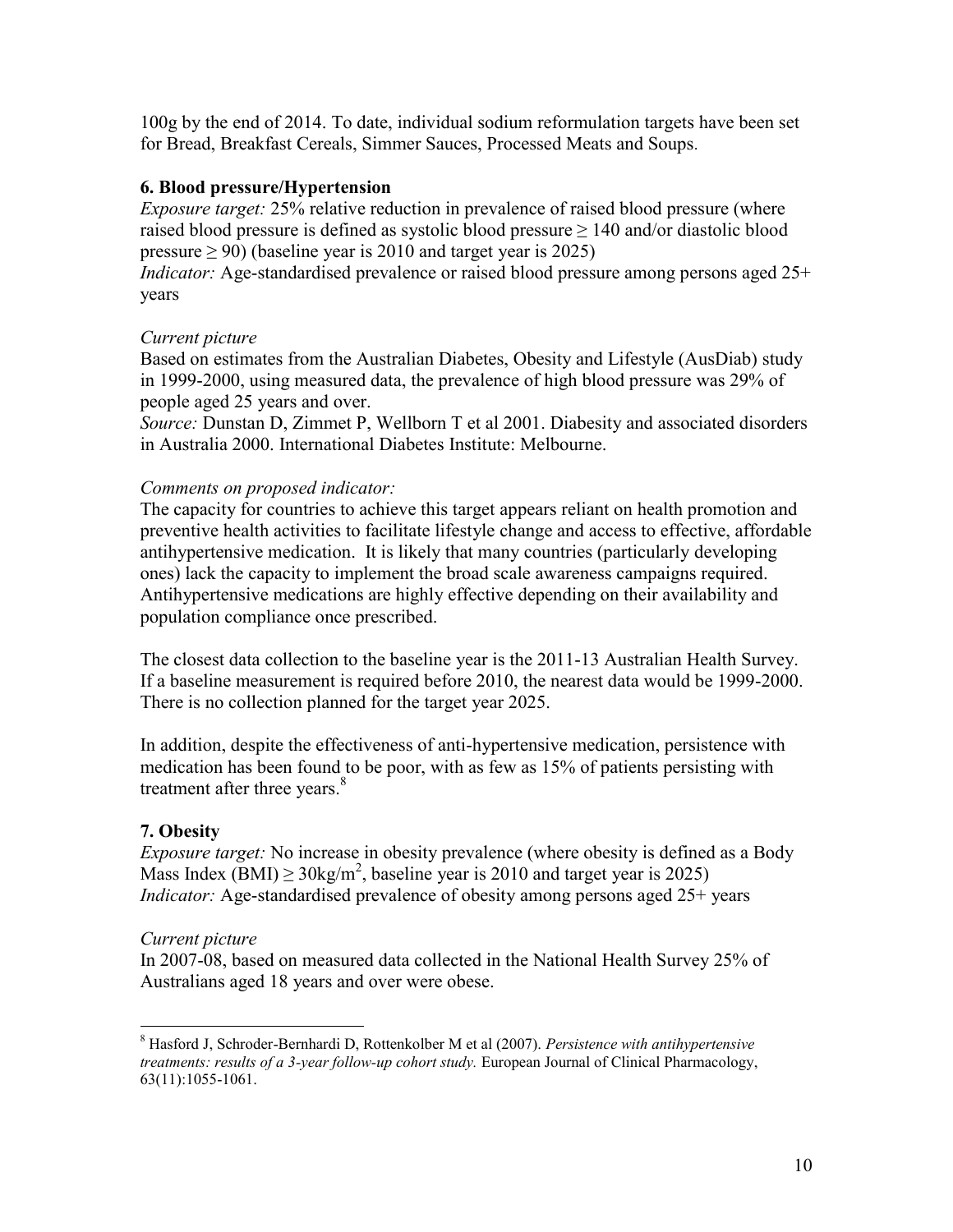100g by the end of 2014. To date, individual sodium reformulation targets have been set for Bread, Breakfast Cereals, Simmer Sauces, Processed Meats and Soups.

# **6. Blood pressure/Hypertension**

*Exposure target:* 25% relative reduction in prevalence of raised blood pressure (where raised blood pressure is defined as systolic blood pressure  $\geq 140$  and/or diastolic blood pressure  $\geq$  90) (baseline year is 2010 and target year is 2025)

*Indicator:* Age-standardised prevalence or raised blood pressure among persons aged 25+ years

# *Current picture*

Based on estimates from the Australian Diabetes, Obesity and Lifestyle (AusDiab) study in 1999-2000, using measured data, the prevalence of high blood pressure was 29% of people aged 25 years and over.

*Source:* Dunstan D, Zimmet P, Wellborn T et al 2001. Diabesity and associated disorders in Australia 2000. International Diabetes Institute: Melbourne.

# *Comments on proposed indicator:*

The capacity for countries to achieve this target appears reliant on health promotion and preventive health activities to facilitate lifestyle change and access to effective, affordable antihypertensive medication. It is likely that many countries (particularly developing ones) lack the capacity to implement the broad scale awareness campaigns required. Antihypertensive medications are highly effective depending on their availability and population compliance once prescribed.

The closest data collection to the baseline year is the 2011-13 Australian Health Survey. If a baseline measurement is required before 2010, the nearest data would be 1999-2000. There is no collection planned for the target year 2025.

In addition, despite the effectiveness of anti-hypertensive medication, persistence with medication has been found to be poor, with as few as 15% of patients persisting with treatment after three years.<sup>8</sup>

# **7. Obesity**

*Exposure target:* No increase in obesity prevalence (where obesity is defined as a Body Mass Index (BMI)  $\geq$  30kg/m<sup>2</sup>, baseline year is 2010 and target year is 2025) *Indicator:* Age-standardised prevalence of obesity among persons aged 25+ years

# *Current picture*

In 2007-08, based on measured data collected in the National Health Survey 25% of Australians aged 18 years and over were obese.

 $\overline{a}$ <sup>8</sup> Hasford J, Schroder-Bernhardi D, Rottenkolber M et al (2007). *Persistence with antihypertensive treatments: results of a 3-year follow-up cohort study.* European Journal of Clinical Pharmacology, 63(11):1055-1061.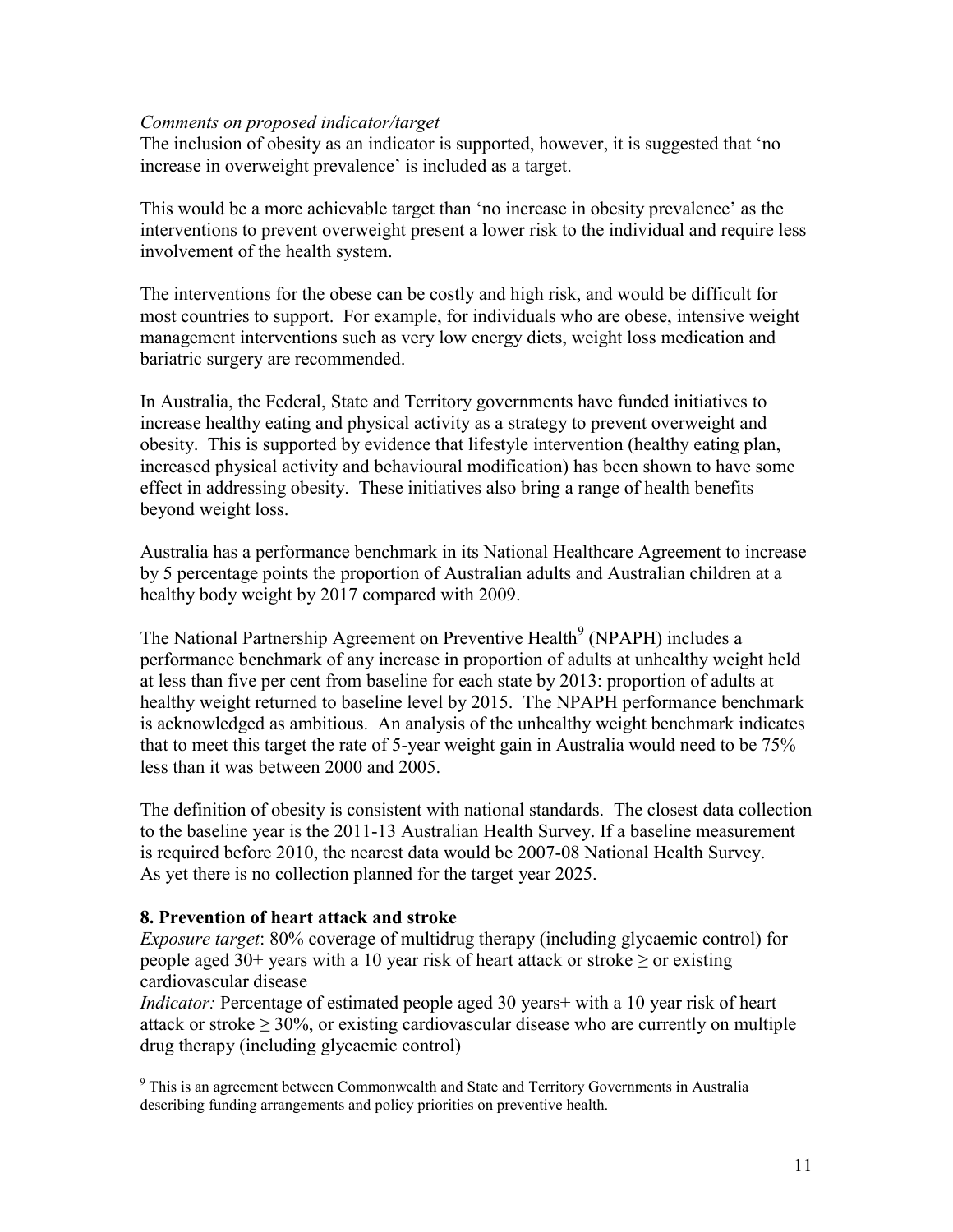#### *Comments on proposed indicator/target*

The inclusion of obesity as an indicator is supported, however, it is suggested that 'no increase in overweight prevalence' is included as a target.

This would be a more achievable target than 'no increase in obesity prevalence' as the interventions to prevent overweight present a lower risk to the individual and require less involvement of the health system.

The interventions for the obese can be costly and high risk, and would be difficult for most countries to support. For example, for individuals who are obese, intensive weight management interventions such as very low energy diets, weight loss medication and bariatric surgery are recommended.

In Australia, the Federal, State and Territory governments have funded initiatives to increase healthy eating and physical activity as a strategy to prevent overweight and obesity. This is supported by evidence that lifestyle intervention (healthy eating plan, increased physical activity and behavioural modification) has been shown to have some effect in addressing obesity. These initiatives also bring a range of health benefits beyond weight loss.

Australia has a performance benchmark in its National Healthcare Agreement to increase by 5 percentage points the proportion of Australian adults and Australian children at a healthy body weight by 2017 compared with 2009.

The National Partnership Agreement on Preventive Health<sup>9</sup> (NPAPH) includes a performance benchmark of any increase in proportion of adults at unhealthy weight held at less than five per cent from baseline for each state by 2013: proportion of adults at healthy weight returned to baseline level by 2015. The NPAPH performance benchmark is acknowledged as ambitious. An analysis of the unhealthy weight benchmark indicates that to meet this target the rate of 5-year weight gain in Australia would need to be 75% less than it was between 2000 and 2005.

The definition of obesity is consistent with national standards. The closest data collection to the baseline year is the 2011-13 Australian Health Survey. If a baseline measurement is required before 2010, the nearest data would be 2007-08 National Health Survey. As yet there is no collection planned for the target year 2025.

#### **8. Prevention of heart attack and stroke**

 $\overline{a}$ 

*Exposure target*: 80% coverage of multidrug therapy (including glycaemic control) for people aged 30+ years with a 10 year risk of heart attack or stroke  $\geq$  or existing cardiovascular disease

*Indicator:* Percentage of estimated people aged 30 years+ with a 10 year risk of heart attack or stroke  $\geq 30\%$ , or existing cardiovascular disease who are currently on multiple drug therapy (including glycaemic control)

<sup>&</sup>lt;sup>9</sup> This is an agreement between Commonwealth and State and Territory Governments in Australia describing funding arrangements and policy priorities on preventive health.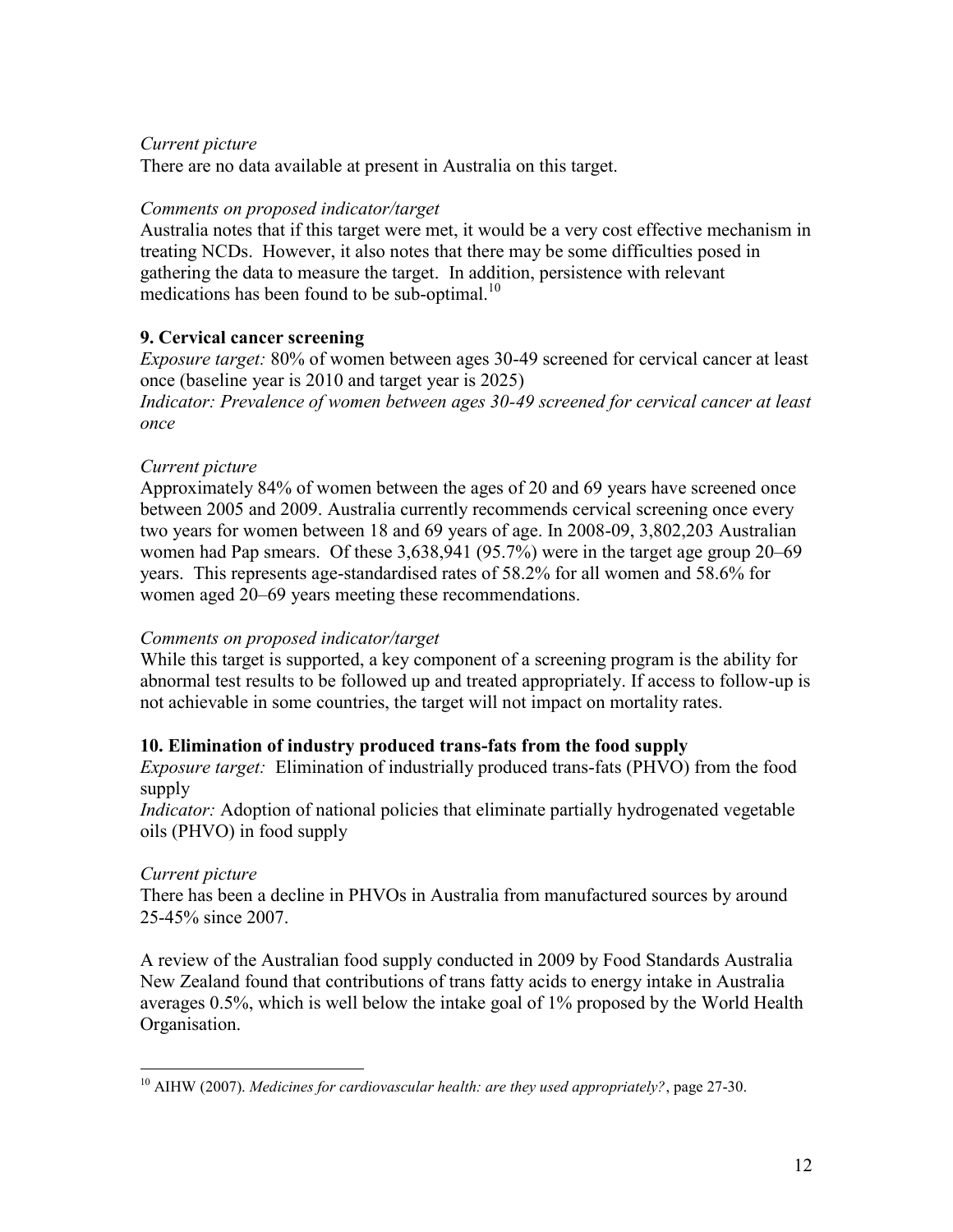## *Current picture*

There are no data available at present in Australia on this target.

## *Comments on proposed indicator/target*

Australia notes that if this target were met, it would be a very cost effective mechanism in treating NCDs. However, it also notes that there may be some difficulties posed in gathering the data to measure the target. In addition, persistence with relevant medications has been found to be sub-optimal.<sup>10</sup>

# **9. Cervical cancer screening**

*Exposure target:* 80% of women between ages 30-49 screened for cervical cancer at least once (baseline year is 2010 and target year is 2025)

*Indicator: Prevalence of women between ages 30-49 screened for cervical cancer at least once*

## *Current picture*

Approximately 84% of women between the ages of 20 and 69 years have screened once between 2005 and 2009. Australia currently recommends cervical screening once every two years for women between 18 and 69 years of age. In 2008-09, 3,802,203 Australian women had Pap smears. Of these 3,638,941 (95.7%) were in the target age group 20–69 years. This represents age-standardised rates of 58.2% for all women and 58.6% for women aged 20–69 years meeting these recommendations.

#### *Comments on proposed indicator/target*

While this target is supported, a key component of a screening program is the ability for abnormal test results to be followed up and treated appropriately. If access to follow-up is not achievable in some countries, the target will not impact on mortality rates.

# **10. Elimination of industry produced trans-fats from the food supply**

*Exposure target:* Elimination of industrially produced trans-fats (PHVO) from the food supply

*Indicator:* Adoption of national policies that eliminate partially hydrogenated vegetable oils (PHVO) in food supply

#### *Current picture*

There has been a decline in PHVOs in Australia from manufactured sources by around 25-45% since 2007.

A review of the Australian food supply conducted in 2009 by Food Standards Australia New Zealand found that contributions of trans fatty acids to energy intake in Australia averages 0.5%, which is well below the intake goal of 1% proposed by the World Health Organisation.

 $\overline{a}$ <sup>10</sup> AIHW (2007). *Medicines for cardiovascular health: are they used appropriately?*, page 27-30.